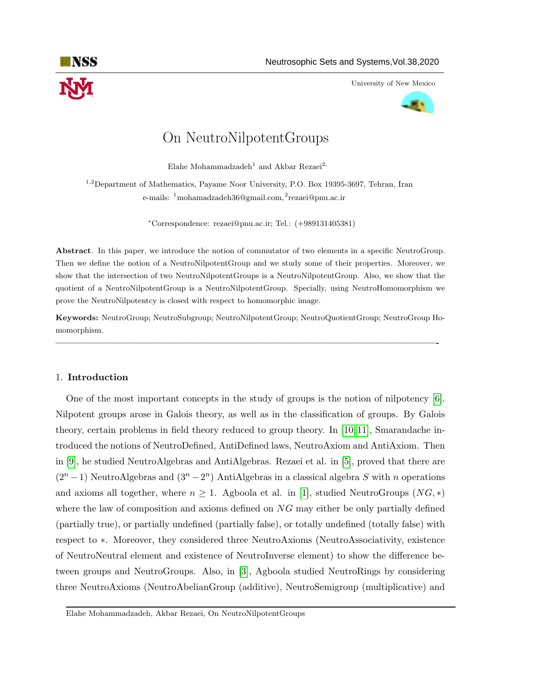

University of New Mexico



# On NeutroNilpotentGroups

Elahe Mohammadzadeh<sup>1</sup> and Akbar Rezaei<sup>2,</sup>

<sup>1,2</sup>Department of Mathematics, Payame Noor University, P.O. Box 19395-3697, Tehran, Iran e-mails: <sup>1</sup>mohamadzadeh36@gmail.com,<sup>2</sup>rezaei@pnu.ac.ir

<sup>∗</sup>Correspondence: rezaei@pnu.ac.ir; Tel.: (+989131405381)

Abstract. In this paper, we introduce the notion of commutator of two elements in a specific NeutroGroup. Then we define the notion of a NeutroNilpotentGroup and we study some of their properties. Moreover, we show that the intersection of two NeutroNilpotentGroups is a NeutroNilpotentGroup. Also, we show that the quotient of a NeutroNilpotentGroup is a NeutroNilpotentGroup. Specially, using NeutroHomomorphism we prove the NeutroNilpotentcy is closed with respect to homomorphic image.

Keywords: NeutroGroup; NeutroSubgroup; NeutroNilpotentGroup; NeutroQuotientGroup; NeutroGroup Homomorphism.

—————————————————————————————————————————-

## 1. Introduction

One of the most important concepts in the study of groups is the notion of nilpotency [\[6\]](#page-7-0). Nilpotent groups arose in Galois theory, as well as in the classification of groups. By Galois theory, certain problems in field theory reduced to group theory. In [\[10,](#page-7-1) [11\]](#page-7-2), Smarandache introduced the notions of NeutroDefined, AntiDefined laws, NeutroAxiom and AntiAxiom. Then in [\[9\]](#page-7-3), he studied NeutroAlgebras and AntiAlgebras. Rezaei et al. in [\[5\]](#page-7-4), proved that there are  $(2^{n}-1)$  NeutroAlgebras and  $(3^{n}-2^{n})$  AntiAlgebras in a classical algebra S with n operations and axioms all together, where  $n \geq 1$ . Agboola et al. in [\[1\]](#page-7-5), studied NeutroGroups  $(NG, *)$ where the law of composition and axioms defined on  $NG$  may either be only partially defined (partially true), or partially undefined (partially false), or totally undefined (totally false) with respect to ∗. Moreover, they considered three NeutroAxioms (NeutroAssociativity, existence of NeutroNeutral element and existence of NeutroInverse element) to show the difference between groups and NeutroGroups. Also, in [\[3\]](#page-7-6), Agboola studied NeutroRings by considering three NeutroAxioms (NeutroAbelianGroup (additive), NeutroSemigroup (multiplicative) and

Elahe Mohammadzadeh, Akbar Rezaei, On NeutroNilpotentGroups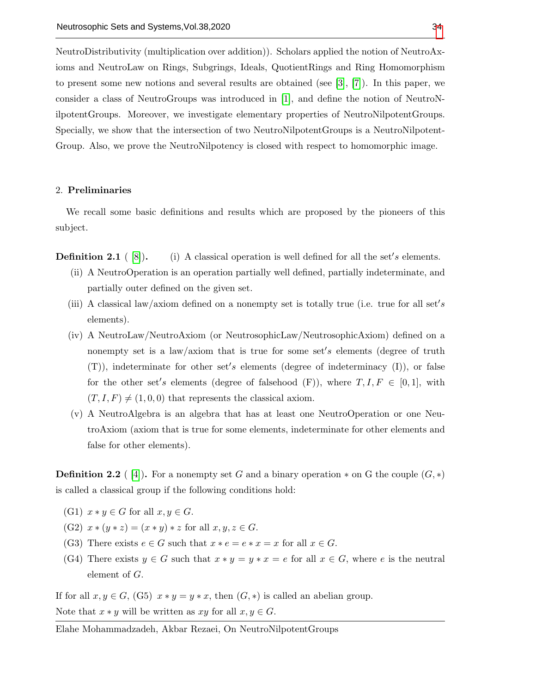NeutroDistributivity (multiplication over addition)). Scholars applied the notion of NeutroAxioms and NeutroLaw on Rings, Subgrings, Ideals, QuotientRings and Ring Homomorphism to present some new notions and several results are obtained (see [\[3\]](#page-7-6), [\[7\]](#page-7-8)). In this paper, we consider a class of NeutroGroups was introduced in [\[1\]](#page-7-5), and define the notion of NeutroNilpotentGroups. Moreover, we investigate elementary properties of NeutroNilpotentGroups. Specially, we show that the intersection of two NeutroNilpotentGroups is a NeutroNilpotent-Group. Also, we prove the NeutroNilpotency is closed with respect to homomorphic image.

### 2. Preliminaries

We recall some basic definitions and results which are proposed by the pioneers of this subject.

**Definition 2.1** ([\[8\]](#page-7-9)). (i) A classical operation is well defined for all the set's elements.

- (ii) A NeutroOperation is an operation partially well defined, partially indeterminate, and partially outer defined on the given set.
- (iii) A classical law/axiom defined on a nonempty set is totally true (i.e. true for all set's elements).
- (iv) A NeutroLaw/NeutroAxiom (or NeutrosophicLaw/NeutrosophicAxiom) defined on a nonempty set is a law/axiom that is true for some set's elements (degree of truth  $(T)$ ), indeterminate for other set's elements (degree of indeterminacy  $(I)$ ), or false for the other set's elements (degree of falsehood  $(F)$ ), where  $T, I, F \in [0, 1]$ , with  $(T, I, F) \neq (1, 0, 0)$  that represents the classical axiom.
- (v) A NeutroAlgebra is an algebra that has at least one NeutroOperation or one NeutroAxiom (axiom that is true for some elements, indeterminate for other elements and false for other elements).

**Definition 2.2** (4). For a nonempty set G and a binary operation  $*$  on G the couple  $(G, *)$ is called a classical group if the following conditions hold:

- (G1)  $x * y \in G$  for all  $x, y \in G$ .
- (G2)  $x * (y * z) = (x * y) * z$  for all  $x, y, z \in G$ .
- (G3) There exists  $e \in G$  such that  $x * e = e * x = x$  for all  $x \in G$ .
- (G4) There exists  $y \in G$  such that  $x * y = y * x = e$  for all  $x \in G$ , where e is the neutral element of G.

If for all  $x, y \in G$ , (G5)  $x * y = y * x$ , then  $(G, *)$  is called an abelian group. Note that  $x * y$  will be written as  $xy$  for all  $x, y \in G$ .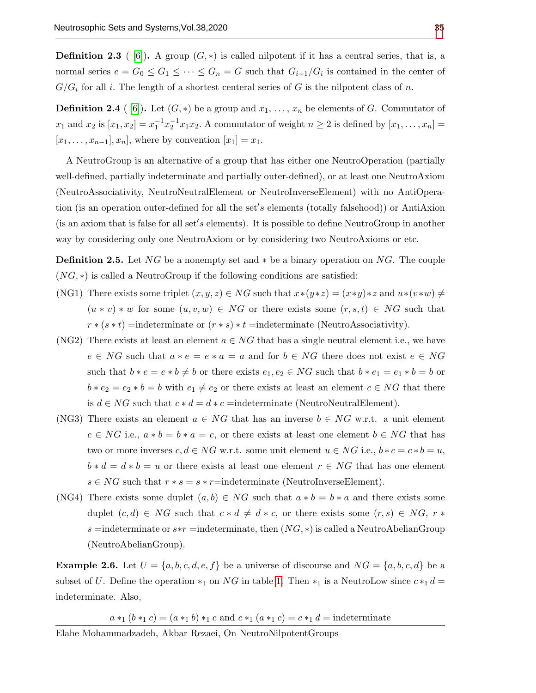**Definition 2.3** (6). A group  $(G, *)$  is called nilpotent if it has a central series, that is, a normal series  $e = G_0 \leq G_1 \leq \cdots \leq G_n = G$  such that  $G_{i+1}/G_i$  is contained in the center of  $G/G_i$  for all i. The length of a shortest centeral series of G is the nilpotent class of n.

**Definition 2.4** (6). Let  $(G, *)$  be a group and  $x_1, \ldots, x_n$  be elements of G. Commutator of  $x_1$  and  $x_2$  is  $[x_1, x_2] = x_1^{-1} x_2^{-1} x_1 x_2$ . A commutator of weight  $n \ge 2$  is defined by  $[x_1, ..., x_n] =$  $[x_1, ..., x_{n-1}], x_n]$ , where by convention  $[x_1] = x_1$ .

A NeutroGroup is an alternative of a group that has either one NeutroOperation (partially well-defined, partially indeterminate and partially outer-defined), or at least one NeutroAxiom (NeutroAssociativity, NeutroNeutralElement or NeutroInverseElement) with no AntiOperation (is an operation outer-defined for all the set's elements (totally falsehood)) or AntiAxion (is an axiom that is false for all set's elements). It is possible to define NeutroGroup in another way by considering only one NeutroAxiom or by considering two NeutroAxioms or etc.

**Definition 2.5.** Let  $NG$  be a nonempty set and  $*$  be a binary operation on  $NG$ . The couple  $(NG, *)$  is called a NeutroGroup if the following conditions are satisfied:

- (NG1) There exists some triplet  $(x, y, z) \in NG$  such that  $x*(y*z) = (x*y)*z$  and  $u*(v*w) \neq$  $(u * v) * w$  for some  $(u, v, w) \in NG$  or there exists some  $(r, s, t) \in NG$  such that  $r * (s * t)$  =indeterminate or  $(r * s) * t$  =indeterminate (NeutroAssociativity).
- (NG2) There exists at least an element  $a \in NG$  that has a single neutral element i.e., we have  $e \in NG$  such that  $a * e = e * a = a$  and for  $b \in NG$  there does not exist  $e \in NG$ such that  $b * e = e * b \neq b$  or there exists  $e_1, e_2 \in NG$  such that  $b * e_1 = e_1 * b = b$  or  $b * e_2 = e_2 * b = b$  with  $e_1 \neq e_2$  or there exists at least an element  $c \in NG$  that there is  $d \in NG$  such that  $c * d = d * c$  =indeterminate (NeutroNeutralElement).
- (NG3) There exists an element  $a \in NG$  that has an inverse  $b \in NG$  w.r.t. a unit element  $e \in NG$  i.e.,  $a * b = b * a = e$ , or there exists at least one element  $b \in NG$  that has two or more inverses  $c, d \in NG$  w.r.t. some unit element  $u \in NG$  i.e.,  $b * c = c * b = u$ ,  $b * d = d * b = u$  or there exists at least one element  $r \in NG$  that has one element  $s \in NG$  such that  $r * s = s * r =$ indeterminate (NeutroInverseElement).
- (NG4) There exists some duplet  $(a, b) \in NG$  such that  $a * b = b * a$  and there exists some duplet  $(c, d) \in NG$  such that  $c * d \neq d * c$ , or there exists some  $(r, s) \in NG$ ,  $r *$ s =indeterminate or  $s*r =$ indeterminate, then  $(NG, *)$  is called a NeutroAbelianGroup (NeutroAbelianGroup).

**Example 2.6.** Let  $U = \{a, b, c, d, e, f\}$  be a universe of discourse and  $NG = \{a, b, c, d\}$  be a subset of U. Define the operation  $*_1$  on NG in table [1.](#page-3-0) Then  $*_1$  is a NeutroLow since  $c*_1 d =$ indeterminate. Also,

 $a *_{1} (b *_{1} c) = (a *_{1} b) *_{1} c$  and  $c *_{1} (a *_{1} c) = c *_{1} d =$  indeterminate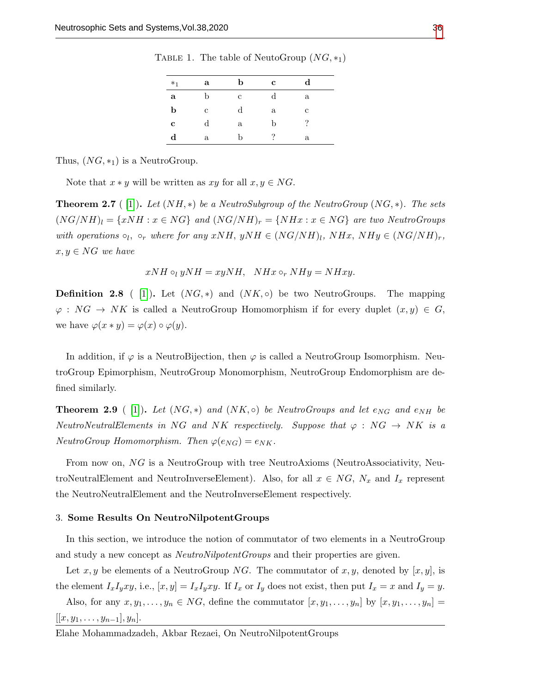| $*_1$        | a            | b | $\mathbf c$  | $_{\rm d}$   |
|--------------|--------------|---|--------------|--------------|
| $\mathbf{a}$ | b            | с | $_{\rm d}$   | a            |
| b            | C            | d | $\mathbf{a}$ | с            |
| $\mathbf c$  | d            | a | b            | ?            |
| $\mathbf d$  | $\mathbf{a}$ | b | ?            | $\mathbf{a}$ |

<span id="page-3-0"></span>TABLE 1. The table of NeutoGroup  $(NG, *_1)$ 

Thus,  $(NG, *_{1})$  is a NeutroGroup.

Note that  $x * y$  will be written as  $xy$  for all  $x, y \in NG$ .

**Theorem 2.7** ( [\[1\]](#page-7-5)). Let  $(NH, *)$  be a NeutroSubgroup of the NeutroGroup  $(NG, *)$ . The sets  $(NG/NH)_l = \{xNH : x \in NG\}$  and  $(NG/NH)_r = \{NHx : x \in NG\}$  are two NeutroGroups with operations  $\circ_l$ ,  $\circ_r$  where for any  $xNH$ ,  $yNH \in (NG/NH)_l$ ,  $NHx$ ,  $NHy \in (NG/NH)_r$ ,  $x, y \in NG$  we have

$$
xNH\circ_l yNH=xyNH, \quad NHx\circ_r NHy=NHxy.
$$

**Definition 2.8** ( [\[1\]](#page-7-5)). Let  $(NG, *)$  and  $(NK, \circ)$  be two NeutroGroups. The mapping  $\varphi: NG \to NK$  is called a NeutroGroup Homomorphism if for every duplet  $(x, y) \in G$ , we have  $\varphi(x * y) = \varphi(x) \circ \varphi(y)$ .

In addition, if  $\varphi$  is a NeutroBijection, then  $\varphi$  is called a NeutroGroup Isomorphism. NeutroGroup Epimorphism, NeutroGroup Monomorphism, NeutroGroup Endomorphism are defined similarly.

**Theorem 2.9** ( [\[1\]](#page-7-5)). Let  $(NG, *)$  and  $(NK, o)$  be NeutroGroups and let  $e_{NG}$  and  $e_{NH}$  be NeutroNeutralElements in NG and NK respectively. Suppose that  $\varphi : NG \rightarrow NK$  is a NeutroGroup Homomorphism. Then  $\varphi(e_{NG}) = e_{NK}$ .

From now on, NG is a NeutroGroup with tree NeutroAxioms (NeutroAssociativity, NeutroNeutralElement and NeutroInverseElement). Also, for all  $x \in NG$ ,  $N_x$  and  $I_x$  represent the NeutroNeutralElement and the NeutroInverseElement respectively.

### 3. Some Results On NeutroNilpotentGroups

In this section, we introduce the notion of commutator of two elements in a NeutroGroup and study a new concept as *NeutroNilpotentGroups* and their properties are given.

Let x, y be elements of a NeutroGroup NG. The commutator of x, y, denoted by  $[x, y]$ , is the element  $I_xI_yxy$ , i.e.,  $[x, y] = I_xI_yxy$ . If  $I_x$  or  $I_y$  does not exist, then put  $I_x = x$  and  $I_y = y$ .

Also, for any  $x, y_1, \ldots, y_n \in NG$ , define the commutator  $[x, y_1, \ldots, y_n]$  by  $[x, y_1, \ldots, y_n] =$  $[[x, y_1, \ldots, y_{n-1}], y_n].$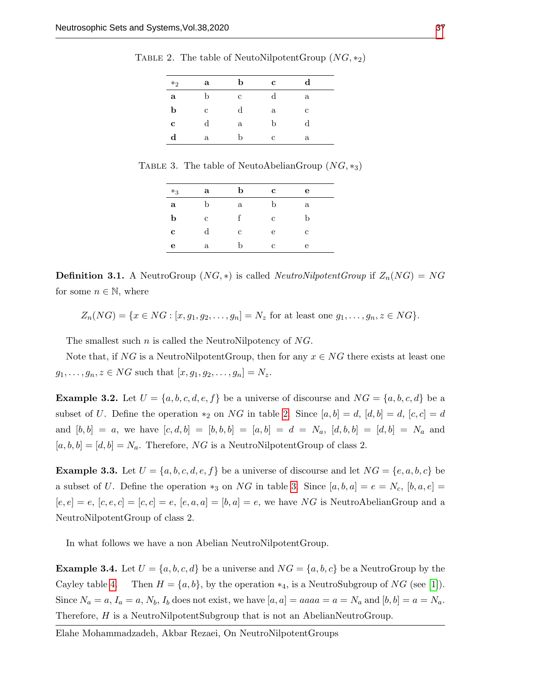| $*_2$      | a | b | $\mathbf c$ | $\rm{d}$ |
|------------|---|---|-------------|----------|
| a          | b | c |             | a        |
| b          | с | d | a           | с        |
| c          |   | a | b           |          |
| $_{\rm d}$ | a | b | c           | a        |

<span id="page-4-0"></span>TABLE 2. The table of NeutoNilpotentGroup  $(NG, *_2)$ 

<span id="page-4-1"></span>TABLE 3. The table of NeutoAbelianGroup  $(NG, *_3)$ 

| $*_3$       | a            | b            | $\mathbf c$ | e |  |
|-------------|--------------|--------------|-------------|---|--|
| $\mathbf a$ | b            | $\mathbf{a}$ | b           | a |  |
| b           | с            |              | с           | b |  |
| c           | $_{\rm d}$   | с            | е           | с |  |
| e           | $\mathbf{a}$ | b            | с           | е |  |
|             |              |              |             |   |  |

**Definition 3.1.** A NeutroGroup  $(NG, *)$  is called *NeutroNilpotentGroup* if  $Z_n(NG) = NG$ for some  $n \in \mathbb{N}$ , where

$$
Z_n(NG) = \{x \in NG : [x, g_1, g_2, \dots, g_n] = N_z \text{ for at least one } g_1, \dots, g_n, z \in NG\}.
$$

The smallest such n is called the NeutroNilpotency of NG.

Note that, if NG is a NeutroNilpotentGroup, then for any  $x \in NG$  there exists at least one  $g_1, ..., g_n, z \in NG$  such that  $[x, g_1, g_2, ..., g_n] = N_z$ .

<span id="page-4-2"></span>**Example 3.2.** Let  $U = \{a, b, c, d, e, f\}$  be a universe of discourse and  $NG = \{a, b, c, d\}$  be a subset of U. Define the operation  $*_2$  on NG in table [2.](#page-4-0) Since  $[a, b] = d$ ,  $[d, b] = d$ ,  $[c, c] = d$ and  $[b, b] = a$ , we have  $[c, d, b] = [b, b, b] = [a, b] = d = N_a$ ,  $[d, b, b] = [d, b] = N_a$  and  $[a, b, b] = [d, b] = N_a$ . Therefore, NG is a NeutroNilpotentGroup of class 2.

**Example 3.3.** Let  $U = \{a, b, c, d, e, f\}$  be a universe of discourse and let  $NG = \{e, a, b, c\}$  be a subset of U. Define the operation  $*_3$  on NG in table [3.](#page-4-1) Since  $[a, b, a] = e = N_c$ ,  $[b, a, e] =$  $[e, e] = e$ ,  $[e, e, c] = [c, c] = e$ ,  $[e, a, a] = [b, a] = e$ , we have NG is NeutroAbelianGroup and a NeutroNilpotentGroup of class 2.

In what follows we have a non Abelian NeutroNilpotentGroup.

**Example 3.4.** Let  $U = \{a, b, c, d\}$  be a universe and  $NG = \{a, b, c\}$  be a NeutroGroup by the Cayley table [4.](#page-5-0) Then  $H = \{a, b\}$ , by the operation  $*_4$ , is a NeutroSubgroup of NG (see [\[1\]](#page-7-5)). Since  $N_a = a$ ,  $I_a = a$ ,  $N_b$ ,  $I_b$  does not exist, we have  $[a, a] = a$  and  $[a, b] = a = N_a$ . Therefore, H is a NeutroNilpotentSubgroup that is not an AbelianNeutroGroup.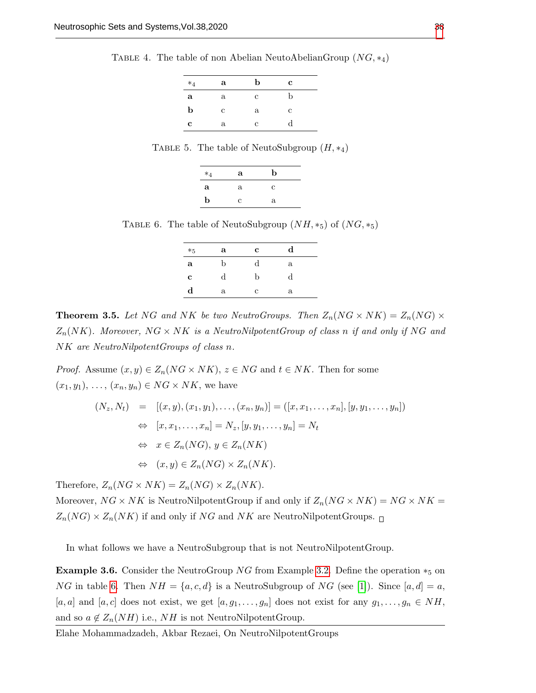<span id="page-5-0"></span>TABLE 4. The table of non Abelian NeutoAbelianGroup  $(NG, *_4)$ 

| $*_4$ | a | b | $\mathbf c$ |
|-------|---|---|-------------|
| a     | a | c | b           |
| b     | с | a | с           |
| c     | a | с | d           |

TABLE 5. The table of NeutoSubgroup  $(H, *_4)$ 

| $*_4$       | a | b |  |
|-------------|---|---|--|
| a           | a | с |  |
| $\mathbf b$ | C | a |  |

<span id="page-5-1"></span>TABLE 6. The table of NeutoSubgroup  $(NH, *_5)$  of  $(NG, *_5)$ 

| $*_5$       | a | $\mathbf c$ | d          |  |
|-------------|---|-------------|------------|--|
| a           | b | d           | a          |  |
| c           | d | h           | $_{\rm d}$ |  |
| $\mathbf d$ | a | с           | a          |  |

**Theorem 3.5.** Let NG and NK be two NeutroGroups. Then  $Z_n(NG \times NK) = Z_n(NG) \times$  $Z_n(NK)$ . Moreover, NG  $\times$  NK is a NeutroNilpotentGroup of class n if and only if NG and NK are NeutroNilpotentGroups of class n.

*Proof.* Assume  $(x, y) \in Z_n(NG \times NK)$ ,  $z \in NG$  and  $t \in NK$ . Then for some  $(x_1, y_1), \ldots, (x_n, y_n) \in NG \times NK$ , we have

$$
(N_z, N_t) = [(x, y), (x_1, y_1), \dots, (x_n, y_n)] = ([x, x_1, \dots, x_n], [y, y_1, \dots, y_n])
$$
  
\n
$$
\Leftrightarrow [x, x_1, \dots, x_n] = N_z, [y, y_1, \dots, y_n] = N_t
$$
  
\n
$$
\Leftrightarrow x \in Z_n(NG), y \in Z_n(NK)
$$
  
\n
$$
\Leftrightarrow (x, y) \in Z_n(NG) \times Z_n(NK).
$$

Therefore,  $Z_n(NG \times NK) = Z_n(NG) \times Z_n(NK)$ .

Moreover,  $NG \times NK$  is NeutroNilpotentGroup if and only if  $Z_n(NG \times NK) = NG \times NK$  $Z_n(NG) \times Z_n(NK)$  if and only if NG and NK are NeutroNilpotentGroups.  $\square$ 

In what follows we have a NeutroSubgroup that is not NeutroNilpotentGroup.

**Example 3.6.** Consider the NeutroGroup NG from Example [3.2.](#page-4-2) Define the operation  $*_5$  on NG in table [6.](#page-5-1) Then  $NH = \{a, c, d\}$  is a NeutroSubgroup of NG (see [\[1\]](#page-7-5)). Since  $[a, d] = a$ , [a, a] and [a, c] does not exist, we get  $[a, g_1, \ldots, g_n]$  does not exist for any  $g_1, \ldots, g_n \in NH$ , and so  $a \notin Z_n(NH)$  i.e.,  $NH$  is not NeutroNilpotentGroup.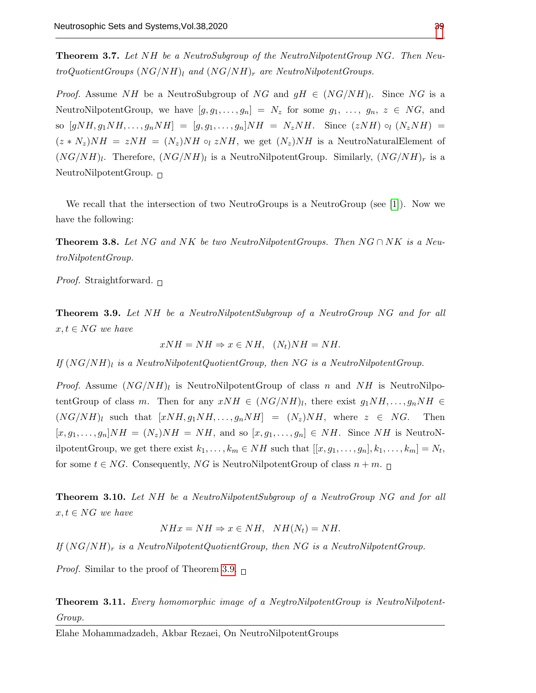Theorem 3.7. Let NH be a NeutroSubgroup of the NeutroNilpotentGroup NG. Then NeutroQuotientGroups  $(NG/NH)_l$  and  $(NG/NH)_r$  are NeutroNilpotentGroups.

*Proof.* Assume NH be a NeutroSubgroup of NG and  $gH \in (NG/NH)_l$ . Since NG is a NeutroNilpotentGroup, we have  $[g, g_1, \ldots, g_n] = N_z$  for some  $g_1, \ldots, g_n, z \in NG$ , and so  $[gNH, g_1NH, \ldots, g_nNH] = [g, g_1, \ldots, g_n]NH = N_zNH$ . Since  $(zNH) \circ_l (N_zNH)$  $(z * N_z)NH = zNH = (N_z)NH \text{~e}$   $zNH$ , we get  $(N_z)NH$  is a NeutroNaturalElement of  $(NG/NH)_l$ . Therefore,  $(NG/NH)_l$  is a NeutroNilpotentGroup. Similarly,  $(NG/NH)_r$  is a NeutroNilpotentGroup.  $\Box$ 

We recall that the intersection of two NeutroGroups is a NeutroGroup (see [\[1\]](#page-7-5)). Now we have the following:

**Theorem 3.8.** Let NG and NK be two NeutroNilpotentGroups. Then  $NG \cap NK$  is a NeutroNilpotentGroup.

*Proof.* Straightforward.  $\Box$ 

<span id="page-6-0"></span>**Theorem 3.9.** Let NH be a NeutroNilpotentSubgroup of a NeutroGroup NG and for all  $x, t \in NG$  we have

$$
xNH = NH \Rightarrow x \in NH, \ \ (N_t)NH = NH.
$$

If  $(NG/NH)_l$  is a NeutroNilpotentQuotientGroup, then NG is a NeutroNilpotentGroup.

*Proof.* Assume  $(NG/NH)_l$  is NeutroNilpotentGroup of class n and NH is NeutroNilpotentGroup of class m. Then for any  $xNH \in (NG/NH)_l$ , there exist  $g_1NH,\ldots,g_nNH \in$  $(NG/NH)_l$  such that  $[xNH, g_1NH, \ldots, g_nNH] = (N_z)NH$ , where  $z \in NG$ . Then  $[x, g_1, \ldots, g_n]NH = (N_z)NH = NH$ , and so  $[x, g_1, \ldots, g_n] \in NH$ . Since NH is NeutroNilpotentGroup, we get there exist  $k_1, \ldots, k_m \in NH$  such that  $[[x, g_1, \ldots, g_n], k_1, \ldots, k_m] = N_t$ , for some  $t \in NG$ . Consequently, NG is NeutroNilpotentGroup of class  $n + m$ .

Theorem 3.10. Let NH be a NeutroNilpotentSubgroup of a NeutroGroup NG and for all  $x, t \in NG$  we have

$$
NHx = NH \Rightarrow x \in NH, \quad NH(N_t) = NH.
$$

If  $(NG/NH)_r$  is a NeutroNilpotentQuotientGroup, then NG is a NeutroNilpotentGroup.

*Proof.* Similar to the proof of Theorem [3.9.](#page-6-0)  $\Box$ 

**Theorem 3.11.** Every homomorphic image of a NeytroNilpotentGroup is NeutroNilpotent-Group.